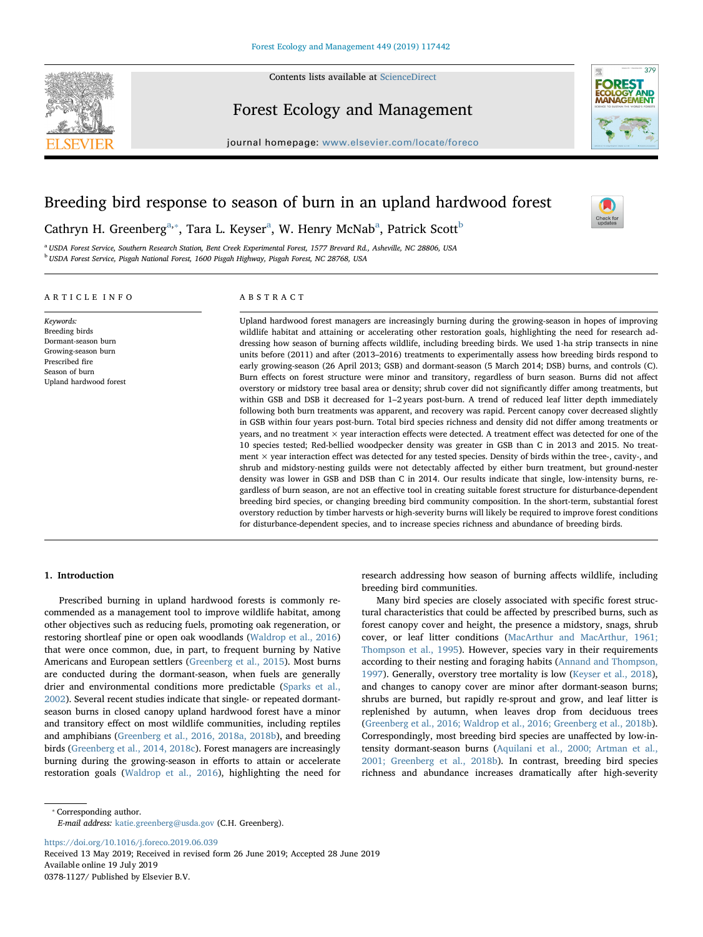

Contents lists available at [ScienceDirect](http://www.sciencedirect.com/science/journal/03781127)

## Forest Ecology and Management



 $\frac{N}{2}$ 

379

journal homepage: [www.elsevier.com/locate/foreco](https://www.elsevier.com/locate/foreco)

# Breeding bird response to season of burn in an upland hardwood forest

C[a](#page-0-0)thryn H. Green[b](#page-0-2)erg $^{\mathrm{a},*}$ , Tara L. Keyser $^{\mathrm{a}}$ , W. Henry McNab $^{\mathrm{a}}$ , Patrick Scott $^{\mathrm{b}}$ 

<span id="page-0-2"></span><span id="page-0-0"></span><sup>a</sup> USDA Forest Service, Southern Research Station, Bent Creek Experimental Forest, 1577 Brevard Rd., Asheville, NC 28806, USA <sup>b</sup> USDA Forest Service, Pisgah National Forest, 1600 Pisgah Highway, Pisgah Forest, NC 28768, USA

## ARTICLE INFO

Keywords: Breeding birds Dormant-season burn Growing-season burn Prescribed fire Season of burn Upland hardwood forest ABSTRACT

Upland hardwood forest managers are increasingly burning during the growing-season in hopes of improving wildlife habitat and attaining or accelerating other restoration goals, highlighting the need for research addressing how season of burning affects wildlife, including breeding birds. We used 1-ha strip transects in nine units before (2011) and after (2013–2016) treatments to experimentally assess how breeding birds respond to early growing-season (26 April 2013; GSB) and dormant-season (5 March 2014; DSB) burns, and controls (C). Burn effects on forest structure were minor and transitory, regardless of burn season. Burns did not affect overstory or midstory tree basal area or density; shrub cover did not significantly differ among treatments, but within GSB and DSB it decreased for 1-2 years post-burn. A trend of reduced leaf litter depth immediately following both burn treatments was apparent, and recovery was rapid. Percent canopy cover decreased slightly in GSB within four years post-burn. Total bird species richness and density did not differ among treatments or years, and no treatment  $\times$  year interaction effects were detected. A treatment effect was detected for one of the 10 species tested; Red-bellied woodpecker density was greater in GSB than C in 2013 and 2015. No treatment  $\times$  year interaction effect was detected for any tested species. Density of birds within the tree-, cavity-, and shrub and midstory-nesting guilds were not detectably affected by either burn treatment, but ground-nester density was lower in GSB and DSB than C in 2014. Our results indicate that single, low-intensity burns, regardless of burn season, are not an effective tool in creating suitable forest structure for disturbance-dependent breeding bird species, or changing breeding bird community composition. In the short-term, substantial forest overstory reduction by timber harvests or high-severity burns will likely be required to improve forest conditions for disturbance-dependent species, and to increase species richness and abundance of breeding birds.

## 1. Introduction

Prescribed burning in upland hardwood forests is commonly recommended as a management tool to improve wildlife habitat, among other objectives such as reducing fuels, promoting oak regeneration, or restoring shortleaf pine or open oak woodlands [\(Waldrop et al., 2016\)](#page-5-0) that were once common, due, in part, to frequent burning by Native Americans and European settlers [\(Greenberg et al., 2015\)](#page-5-1). Most burns are conducted during the dormant-season, when fuels are generally drier and environmental conditions more predictable [\(Sparks et al.,](#page-5-2) [2002\)](#page-5-2). Several recent studies indicate that single- or repeated dormantseason burns in closed canopy upland hardwood forest have a minor and transitory effect on most wildlife communities, including reptiles and amphibians ([Greenberg et al., 2016, 2018a, 2018b](#page-5-3)), and breeding birds [\(Greenberg et al., 2014, 2018c](#page-5-4)). Forest managers are increasingly burning during the growing-season in efforts to attain or accelerate restoration goals ([Waldrop et al., 2016\)](#page-5-0), highlighting the need for

research addressing how season of burning affects wildlife, including breeding bird communities.

Many bird species are closely associated with specific forest structural characteristics that could be affected by prescribed burns, such as forest canopy cover and height, the presence a midstory, snags, shrub cover, or leaf litter conditions ([MacArthur and MacArthur, 1961;](#page-5-5) [Thompson et al., 1995\)](#page-5-5). However, species vary in their requirements according to their nesting and foraging habits [\(Annand and Thompson,](#page-5-6) [1997\)](#page-5-6). Generally, overstory tree mortality is low ([Keyser et al., 2018](#page-5-7)), and changes to canopy cover are minor after dormant-season burns; shrubs are burned, but rapidly re-sprout and grow, and leaf litter is replenished by autumn, when leaves drop from deciduous trees ([Greenberg et al., 2016; Waldrop et al., 2016; Greenberg et al., 2018b](#page-5-3)). Correspondingly, most breeding bird species are unaffected by low-intensity dormant-season burns [\(Aquilani et al., 2000; Artman et al.,](#page-5-8) [2001; Greenberg et al., 2018b\)](#page-5-8). In contrast, breeding bird species richness and abundance increases dramatically after high-severity

<span id="page-0-1"></span>⁎ Corresponding author.

E-mail address: [katie.greenberg@usda.gov](mailto:katie.greenberg@usda.gov) (C.H. Greenberg).

<https://doi.org/10.1016/j.foreco.2019.06.039>

Received 13 May 2019; Received in revised form 26 June 2019; Accepted 28 June 2019 Available online 19 July 2019 0378-1127/ Published by Elsevier B.V.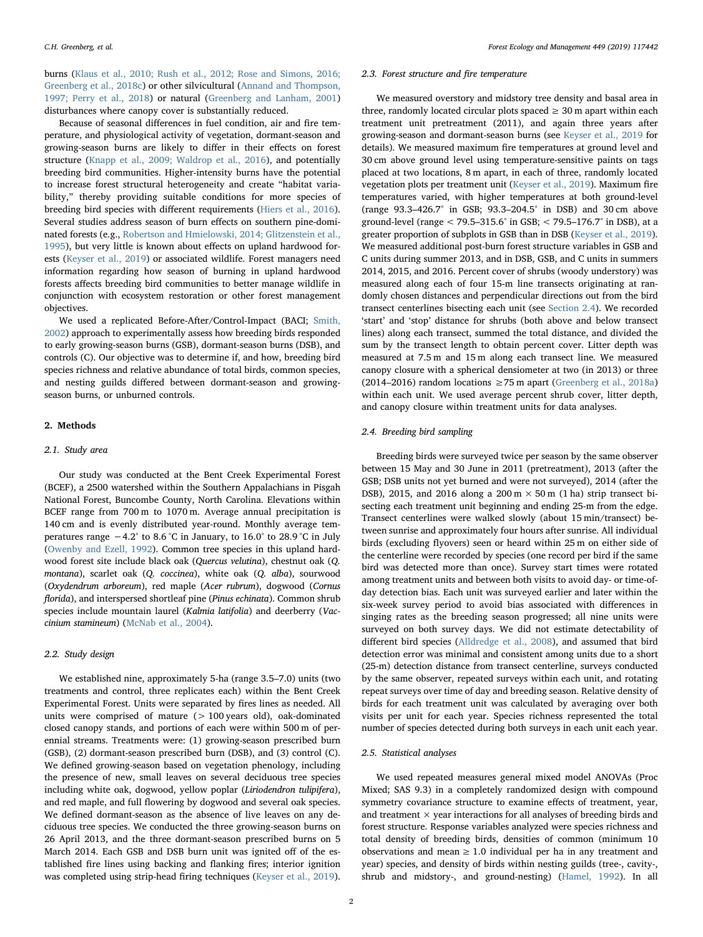burns ([Klaus et al., 2010; Rush et al., 2012; Rose and Simons, 2016;](#page-5-9) [Greenberg et al., 2018c\)](#page-5-9) or other silvicultural [\(Annand and Thompson,](#page-5-6) [1997; Perry et al., 2018\)](#page-5-6) or natural ([Greenberg and Lanham, 2001\)](#page-5-10) disturbances where canopy cover is substantially reduced.

Because of seasonal differences in fuel condition, air and fire temperature, and physiological activity of vegetation, dormant-season and growing-season burns are likely to differ in their effects on forest structure ([Knapp et al., 2009; Waldrop et al., 2016](#page-5-11)), and potentially breeding bird communities. Higher-intensity burns have the potential to increase forest structural heterogeneity and create "habitat variability," thereby providing suitable conditions for more species of breeding bird species with different requirements ([Hiers et al., 2016](#page-5-12)). Several studies address season of burn effects on southern pine-dominated forests (e.g., [Robertson and Hmielowski, 2014; Glitzenstein et al.,](#page-5-13) [1995\)](#page-5-13), but very little is known about effects on upland hardwood forests [\(Keyser et al., 2019\)](#page-5-14) or associated wildlife. Forest managers need information regarding how season of burning in upland hardwood forests affects breeding bird communities to better manage wildlife in conjunction with ecosystem restoration or other forest management objectives.

We used a replicated Before-After/Control-Impact (BACI; [Smith,](#page-5-15) [2002\)](#page-5-15) approach to experimentally assess how breeding birds responded to early growing-season burns (GSB), dormant-season burns (DSB), and controls (C). Our objective was to determine if, and how, breeding bird species richness and relative abundance of total birds, common species, and nesting guilds differed between dormant-season and growingseason burns, or unburned controls.

## 2. Methods

## 2.1. Study area

Our study was conducted at the Bent Creek Experimental Forest (BCEF), a 2500 watershed within the Southern Appalachians in Pisgah National Forest, Buncombe County, North Carolina. Elevations within BCEF range from 700 m to 1070 m. Average annual precipitation is 140 cm and is evenly distributed year-round. Monthly average temperatures range −4.2° to 8.6 °C in January, to 16.0° to 28.9 °C in July ([Owenby and Ezell, 1992](#page-5-16)). Common tree species in this upland hardwood forest site include black oak (Quercus velutina), chestnut oak (Q. montana), scarlet oak (Q. coccinea), white oak (Q. alba), sourwood (Oxydendrum arboreum), red maple (Acer rubrum), dogwood (Cornus florida), and interspersed shortleaf pine (Pinus echinata). Common shrub species include mountain laurel (Kalmia latifolia) and deerberry (Vaccinium stamineum) [\(McNab et al., 2004](#page-5-17)).

#### 2.2. Study design

We established nine, approximately 5-ha (range 3.5–7.0) units (two treatments and control, three replicates each) within the Bent Creek Experimental Forest. Units were separated by fires lines as needed. All units were comprised of mature (> 100 years old), oak-dominated closed canopy stands, and portions of each were within 500 m of perennial streams. Treatments were: (1) growing-season prescribed burn (GSB), (2) dormant-season prescribed burn (DSB), and (3) control (C). We defined growing-season based on vegetation phenology, including the presence of new, small leaves on several deciduous tree species including white oak, dogwood, yellow poplar (Liriodendron tulipifera), and red maple, and full flowering by dogwood and several oak species. We defined dormant-season as the absence of live leaves on any deciduous tree species. We conducted the three growing-season burns on 26 April 2013, and the three dormant-season prescribed burns on 5 March 2014. Each GSB and DSB burn unit was ignited off of the established fire lines using backing and flanking fires; interior ignition was completed using strip-head firing techniques [\(Keyser et al., 2019](#page-5-14)).

#### 2.3. Forest structure and fire temperature

We measured overstory and midstory tree density and basal area in three, randomly located circular plots spaced  $\geq 30$  m apart within each treatment unit pretreatment (2011), and again three years after growing-season and dormant-season burns (see [Keyser et al., 2019](#page-5-14) for details). We measured maximum fire temperatures at ground level and 30 cm above ground level using temperature-sensitive paints on tags placed at two locations, 8 m apart, in each of three, randomly located vegetation plots per treatment unit ([Keyser et al., 2019](#page-5-14)). Maximum fire temperatures varied, with higher temperatures at both ground-level (range 93.3–426.7° in GSB; 93.3–204.5° in DSB) and 30 cm above ground-level (range < 79.5–315.6° in GSB; < 79.5–176.7° in DSB), at a greater proportion of subplots in GSB than in DSB ([Keyser et al., 2019](#page-5-14)). We measured additional post-burn forest structure variables in GSB and C units during summer 2013, and in DSB, GSB, and C units in summers 2014, 2015, and 2016. Percent cover of shrubs (woody understory) was measured along each of four 15-m line transects originating at randomly chosen distances and perpendicular directions out from the bird transect centerlines bisecting each unit (see [Section 2.4\)](#page-1-0). We recorded 'start' and 'stop' distance for shrubs (both above and below transect lines) along each transect, summed the total distance, and divided the sum by the transect length to obtain percent cover. Litter depth was measured at 7.5 m and 15 m along each transect line. We measured canopy closure with a spherical densiometer at two (in 2013) or three (2014–2016) random locations  $\geq$  75 m apart ([Greenberg et al., 2018a\)](#page-5-18) within each unit. We used average percent shrub cover, litter depth, and canopy closure within treatment units for data analyses.

#### <span id="page-1-0"></span>2.4. Breeding bird sampling

Breeding birds were surveyed twice per season by the same observer between 15 May and 30 June in 2011 (pretreatment), 2013 (after the GSB; DSB units not yet burned and were not surveyed), 2014 (after the DSB), 2015, and 2016 along a  $200 \text{ m} \times 50 \text{ m}$  (1 ha) strip transect bisecting each treatment unit beginning and ending 25-m from the edge. Transect centerlines were walked slowly (about 15 min/transect) between sunrise and approximately four hours after sunrise. All individual birds (excluding flyovers) seen or heard within 25 m on either side of the centerline were recorded by species (one record per bird if the same bird was detected more than once). Survey start times were rotated among treatment units and between both visits to avoid day- or time-ofday detection bias. Each unit was surveyed earlier and later within the six-week survey period to avoid bias associated with differences in singing rates as the breeding season progressed; all nine units were surveyed on both survey days. We did not estimate detectability of different bird species ([Alldredge et al., 2008\)](#page-5-19), and assumed that bird detection error was minimal and consistent among units due to a short (25-m) detection distance from transect centerline, surveys conducted by the same observer, repeated surveys within each unit, and rotating repeat surveys over time of day and breeding season. Relative density of birds for each treatment unit was calculated by averaging over both visits per unit for each year. Species richness represented the total number of species detected during both surveys in each unit each year.

#### 2.5. Statistical analyses

We used repeated measures general mixed model ANOVAs (Proc Mixed; SAS 9.3) in a completely randomized design with compound symmetry covariance structure to examine effects of treatment, year, and treatment  $\times$  year interactions for all analyses of breeding birds and forest structure. Response variables analyzed were species richness and total density of breeding birds, densities of common (minimum 10 observations and mean  $\geq 1.0$  individual per ha in any treatment and year) species, and density of birds within nesting guilds (tree-, cavity-, shrub and midstory-, and ground-nesting) [\(Hamel, 1992](#page-5-20)). In all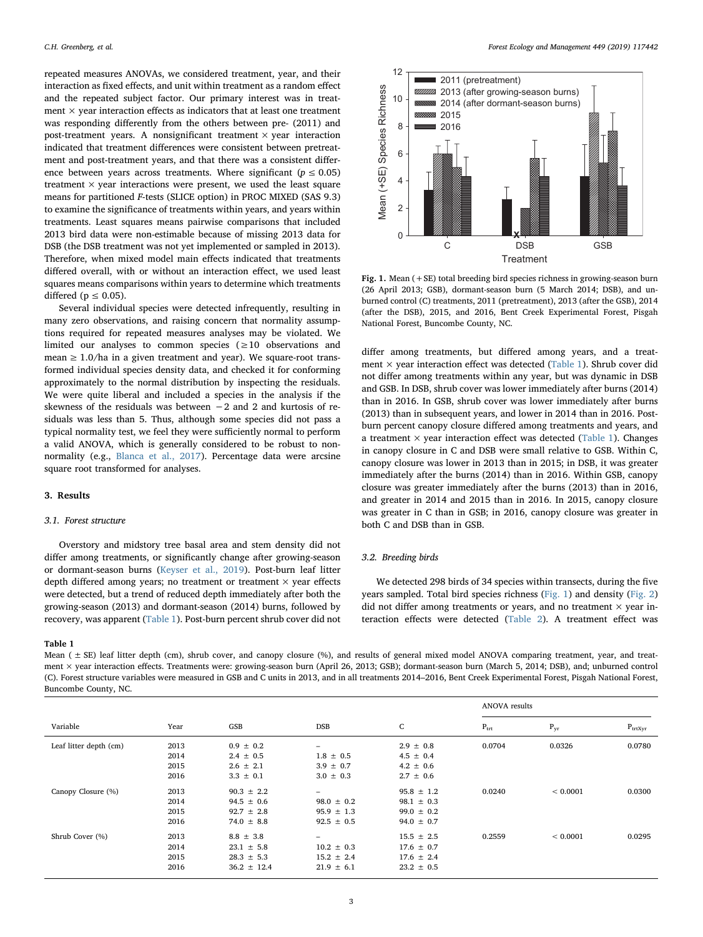repeated measures ANOVAs, we considered treatment, year, and their interaction as fixed effects, and unit within treatment as a random effect and the repeated subject factor. Our primary interest was in treatment  $\times$  year interaction effects as indicators that at least one treatment was responding differently from the others between pre- (2011) and post-treatment years. A nonsignificant treatment  $\times$  year interaction indicated that treatment differences were consistent between pretreatment and post-treatment years, and that there was a consistent difference between years across treatments. Where significant ( $p \le 0.05$ ) treatment  $\times$  year interactions were present, we used the least square means for partitioned F-tests (SLICE option) in PROC MIXED (SAS 9.3) to examine the significance of treatments within years, and years within treatments. Least squares means pairwise comparisons that included 2013 bird data were non-estimable because of missing 2013 data for DSB (the DSB treatment was not yet implemented or sampled in 2013). Therefore, when mixed model main effects indicated that treatments differed overall, with or without an interaction effect, we used least squares means comparisons within years to determine which treatments differed ( $p \leq 0.05$ ).

Several individual species were detected infrequently, resulting in many zero observations, and raising concern that normality assumptions required for repeated measures analyses may be violated. We limited our analyses to common species (≥10 observations and mean  $\geq 1.0$ /ha in a given treatment and year). We square-root transformed individual species density data, and checked it for conforming approximately to the normal distribution by inspecting the residuals. We were quite liberal and included a species in the analysis if the skewness of the residuals was between −2 and 2 and kurtosis of residuals was less than 5. Thus, although some species did not pass a typical normality test, we feel they were sufficiently normal to perform a valid ANOVA, which is generally considered to be robust to nonnormality (e.g., [Blanca et al., 2017](#page-5-21)). Percentage data were arcsine square root transformed for analyses.

#### 3. Results

#### 3.1. Forest structure

Overstory and midstory tree basal area and stem density did not differ among treatments, or significantly change after growing-season or dormant-season burns ([Keyser et al., 2019\)](#page-5-14). Post-burn leaf litter depth differed among years; no treatment or treatment  $\times$  year effects were detected, but a trend of reduced depth immediately after both the growing-season (2013) and dormant-season (2014) burns, followed by recovery, was apparent ([Table 1\)](#page-2-0). Post-burn percent shrub cover did not

<span id="page-2-1"></span>

Fig. 1. Mean  $(+SE)$  total breeding bird species richness in growing-season burn (26 April 2013; GSB), dormant-season burn (5 March 2014; DSB), and unburned control (C) treatments, 2011 (pretreatment), 2013 (after the GSB), 2014 (after the DSB), 2015, and 2016, Bent Creek Experimental Forest, Pisgah National Forest, Buncombe County, NC.

differ among treatments, but differed among years, and a treatment × year interaction effect was detected [\(Table 1\)](#page-2-0). Shrub cover did not differ among treatments within any year, but was dynamic in DSB and GSB. In DSB, shrub cover was lower immediately after burns (2014) than in 2016. In GSB, shrub cover was lower immediately after burns (2013) than in subsequent years, and lower in 2014 than in 2016. Postburn percent canopy closure differed among treatments and years, and a treatment  $\times$  year interaction effect was detected [\(Table 1](#page-2-0)). Changes in canopy closure in C and DSB were small relative to GSB. Within C, canopy closure was lower in 2013 than in 2015; in DSB, it was greater immediately after the burns (2014) than in 2016. Within GSB, canopy closure was greater immediately after the burns (2013) than in 2016, and greater in 2014 and 2015 than in 2016. In 2015, canopy closure was greater in C than in GSB; in 2016, canopy closure was greater in both C and DSB than in GSB.

## 3.2. Breeding birds

We detected 298 birds of 34 species within transects, during the five years sampled. Total bird species richness ([Fig. 1\)](#page-2-1) and density [\(Fig. 2\)](#page-3-0) did not differ among treatments or years, and no treatment  $\times$  year interaction effects were detected ([Table 2\)](#page-3-1). A treatment effect was

## <span id="page-2-0"></span>Table 1

Mean (  $\pm$  SE) leaf litter depth (cm), shrub cover, and canopy closure (%), and results of general mixed model ANOVA comparing treatment, year, and treatment × year interaction effects. Treatments were: growing-season burn (April 26, 2013; GSB); dormant-season burn (March 5, 2014; DSB), and; unburned control (C). Forest structure variables were measured in GSB and C units in 2013, and in all treatments 2014–2016, Bent Creek Experimental Forest, Pisgah National Forest, Buncombe County, NC.

|                        |      |                 |                          |                | <b>ANOVA</b> results |          |              |
|------------------------|------|-----------------|--------------------------|----------------|----------------------|----------|--------------|
| Variable               | Year | GSB             | <b>DSB</b>               | C              | $P_{\text{trt}}$     | $P_{yr}$ | $P_{trtxyr}$ |
| Leaf litter depth (cm) | 2013 | $0.9 \pm 0.2$   | -                        | $2.9 \pm 0.8$  | 0.0704               | 0.0326   | 0.0780       |
|                        | 2014 | $2.4 \pm 0.5$   | $1.8 \pm 0.5$            | $4.5 \pm 0.4$  |                      |          |              |
|                        | 2015 | $2.6 \pm 2.1$   | $3.9 \pm 0.7$            | $4.2 \pm 0.6$  |                      |          |              |
|                        | 2016 | $3.3 \pm 0.1$   | $3.0 \pm 0.3$            | $2.7 \pm 0.6$  |                      |          |              |
| Canopy Closure (%)     | 2013 | $90.3 \pm 2.2$  | -                        | $95.8 \pm 1.2$ | 0.0240               | < 0.0001 | 0.0300       |
|                        | 2014 | $94.5 \pm 0.6$  | $98.0 \pm 0.2$           | $98.1 \pm 0.3$ |                      |          |              |
|                        | 2015 | $92.7 \pm 2.8$  | $95.9 \pm 1.3$           | $99.0 \pm 0.2$ |                      |          |              |
|                        | 2016 | $74.0 \pm 8.8$  | $92.5 \pm 0.5$           | $94.0 \pm 0.7$ |                      |          |              |
| Shrub Cover (%)        | 2013 | $8.8 \pm 3.8$   | $\overline{\phantom{0}}$ | $15.5 \pm 2.5$ | 0.2559               | < 0.0001 | 0.0295       |
|                        | 2014 | $23.1 \pm 5.8$  | $10.2 \pm 0.3$           | $17.6 \pm 0.7$ |                      |          |              |
|                        | 2015 | $28.3 \pm 5.3$  | $15.2 \pm 2.4$           | $17.6 \pm 2.4$ |                      |          |              |
|                        | 2016 | $36.2 \pm 12.4$ | $21.9 \pm 6.1$           | $23.2 \pm 0.5$ |                      |          |              |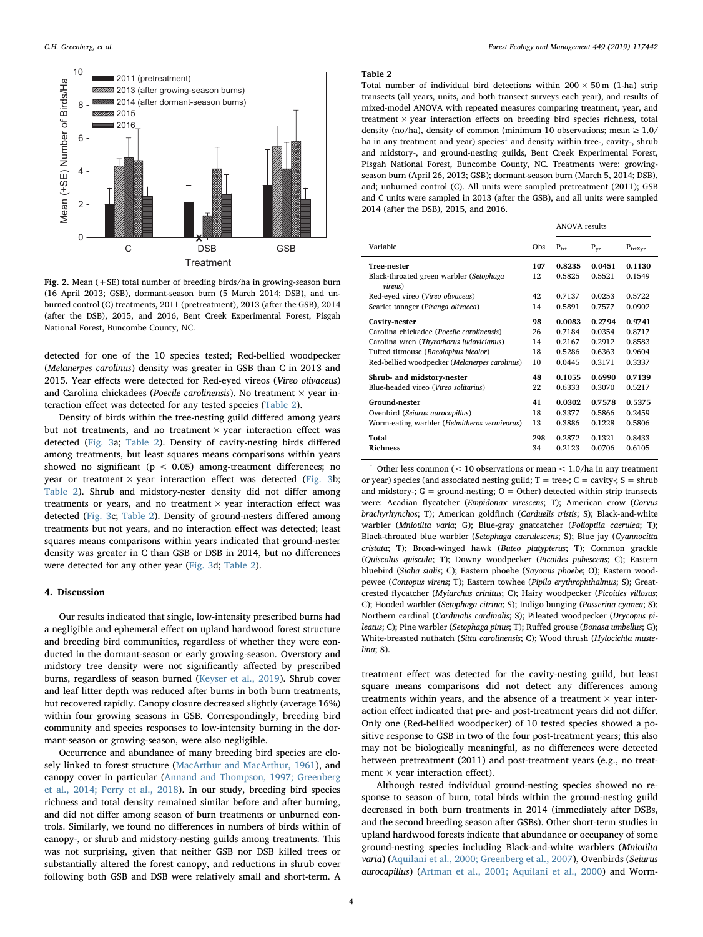<span id="page-3-0"></span>

Fig. 2. Mean (+SE) total number of breeding birds/ha in growing-season burn (16 April 2013; GSB), dormant-season burn (5 March 2014; DSB), and unburned control (C) treatments, 2011 (pretreatment), 2013 (after the GSB), 2014 (after the DSB), 2015, and 2016, Bent Creek Experimental Forest, Pisgah National Forest, Buncombe County, NC.

detected for one of the 10 species tested; Red-bellied woodpecker (Melanerpes carolinus) density was greater in GSB than C in 2013 and 2015. Year effects were detected for Red-eyed vireos (Vireo olivaceus) and Carolina chickadees (Poecile carolinensis). No treatment  $\times$  year interaction effect was detected for any tested species ([Table 2](#page-3-1)).

Density of birds within the tree-nesting guild differed among years but not treatments, and no treatment  $\times$  year interaction effect was detected ([Fig. 3](#page-4-0)a; [Table 2\)](#page-3-1). Density of cavity-nesting birds differed among treatments, but least squares means comparisons within years showed no significant ( $p < 0.05$ ) among-treatment differences; no year or treatment  $\times$  year interaction effect was detected [\(Fig. 3b](#page-4-0); [Table 2](#page-3-1)). Shrub and midstory-nester density did not differ among treatments or years, and no treatment  $\times$  year interaction effect was detected ([Fig. 3](#page-4-0)c; [Table 2\)](#page-3-1). Density of ground-nesters differed among treatments but not years, and no interaction effect was detected; least squares means comparisons within years indicated that ground-nester density was greater in C than GSB or DSB in 2014, but no differences were detected for any other year [\(Fig. 3d](#page-4-0); [Table 2\)](#page-3-1).

#### 4. Discussion

Our results indicated that single, low-intensity prescribed burns had a negligible and ephemeral effect on upland hardwood forest structure and breeding bird communities, regardless of whether they were conducted in the dormant-season or early growing-season. Overstory and midstory tree density were not significantly affected by prescribed burns, regardless of season burned ([Keyser et al., 2019](#page-5-14)). Shrub cover and leaf litter depth was reduced after burns in both burn treatments, but recovered rapidly. Canopy closure decreased slightly (average 16%) within four growing seasons in GSB. Correspondingly, breeding bird community and species responses to low-intensity burning in the dormant-season or growing-season, were also negligible.

Occurrence and abundance of many breeding bird species are closely linked to forest structure [\(MacArthur and MacArthur, 1961](#page-5-5)), and canopy cover in particular [\(Annand and Thompson, 1997; Greenberg](#page-5-6) [et al., 2014; Perry et al., 2018](#page-5-6)). In our study, breeding bird species richness and total density remained similar before and after burning, and did not differ among season of burn treatments or unburned controls. Similarly, we found no differences in numbers of birds within of canopy-, or shrub and midstory-nesting guilds among treatments. This was not surprising, given that neither GSB nor DSB killed trees or substantially altered the forest canopy, and reductions in shrub cover following both GSB and DSB were relatively small and short-term. A

#### <span id="page-3-1"></span>Table 2

Total number of individual bird detections within  $200 \times 50$  m (1-ha) strip transects (all years, units, and both transect surveys each year), and results of mixed-model ANOVA with repeated measures comparing treatment, year, and treatment  $\times$  year interaction effects on breeding bird species richness, total density (no/ha), density of common (minimum 10 observations; mean  $\geq 1.0/$ ha in any treatment and year) species<sup>[1](#page-3-2)</sup> and density within tree-, cavity-, shrub and midstory-, and ground-nesting guilds, Bent Creek Experimental Forest, Pisgah National Forest, Buncombe County, NC. Treatments were: growingseason burn (April 26, 2013; GSB); dormant-season burn (March 5, 2014; DSB), and; unburned control (C). All units were sampled pretreatment (2011); GSB and C units were sampled in 2013 (after the GSB), and all units were sampled 2014 (after the DSB), 2015, and 2016.

|                                                    |     | <b>ANOVA</b> results |          |              |
|----------------------------------------------------|-----|----------------------|----------|--------------|
| Variable                                           | Obs | $P_{\text{trf}}$     | $P_{vr}$ | $P_{trtxyr}$ |
| <b>Tree-nester</b>                                 | 107 | 0.8235               | 0.0451   | 0.1130       |
| Black-throated green warbler (Setophaga<br>virens) | 12  | 0.5825               | 0.5521   | 0.1549       |
| Red-eyed vireo (Vireo olivaceus)                   | 42  | 0.7137               | 0.0253   | 0.5722       |
| Scarlet tanager (Piranga olivacea)                 | 14  | 0.5891               | 0.7577   | 0.0902       |
| Cavity-nester                                      | 98  | 0.0083               | 0.2794   | 0.9741       |
| Carolina chickadee (Poecile carolinensis)          | 26  | 0.7184               | 0.0354   | 0.8717       |
| Carolina wren (Thyrothorus ludovicianus)           | 14  | 0.2167               | 0.2912   | 0.8583       |
| Tufted titmouse (Baeolophus bicolor)               | 18  | 0.5286               | 0.6363   | 0.9604       |
| Red-bellied woodpecker (Melanerpes carolinus)      | 10  | 0.0445               | 0.3171   | 0.3337       |
| Shrub- and midstory-nester                         | 48  | 0.1055               | 0.6990   | 0.7139       |
| Blue-headed vireo (Vireo solitarius)               | 22  | 0.6333               | 0.3070   | 0.5217       |
| <b>Ground-nester</b>                               | 41  | 0.0302               | 0.7578   | 0.5375       |
| Ovenbird (Seiurus aurocapillus)                    | 18  | 0.3377               | 0.5866   | 0.2459       |
| Worm-eating warbler (Helmitheros vermivorus)       | 13  | 0.3886               | 0.1228   | 0.5806       |
| Total                                              | 298 | 0.2872               | 0.1321   | 0.8433       |
| <b>Richness</b>                                    | 34  | 0.2123               | 0.0706   | 0.6105       |

<span id="page-3-2"></span>Other less common (< 10 observations or mean < 1.0/ha in any treatment or year) species (and associated nesting guild;  $T =$  tree-;  $C =$  cavity-;  $S =$  shrub and midstory-;  $G =$  ground-nesting;  $O =$  Other) detected within strip transects were: Acadian flycatcher (Empidonax virescens; T); American crow (Corvus brachyrhynchos; T); American goldfinch (Carduelis tristis; S); Black-and-white warbler (Mniotilta varia; G); Blue-gray gnatcatcher (Polioptila caerulea; T); Black-throated blue warbler (Setophaga caerulescens; S); Blue jay (Cyannocitta cristata; T); Broad-winged hawk (Buteo platypterus; T); Common grackle (Quiscalus quiscula; T); Downy woodpecker (Picoides pubescens; C); Eastern bluebird (Sialia sialis; C); Eastern phoebe (Sayomis phoebe; O); Eastern woodpewee (Contopus virens; T); Eastern towhee (Pipilo erythrophthalmus; S); Greatcrested flycatcher (Myiarchus crinitus; C); Hairy woodpecker (Picoides villosus; C); Hooded warbler (Setophaga citrina; S); Indigo bunging (Passerina cyanea; S); Northern cardinal (Cardinalis cardinalis; S); Pileated woodpecker (Drycopus pileatus; C); Pine warbler (Setophaga pinus; T); Ruffed grouse (Bonasa umbellus; G); White-breasted nuthatch (Sitta carolinensis; C); Wood thrush (Hylocichla mustelina; S).

treatment effect was detected for the cavity-nesting guild, but least square means comparisons did not detect any differences among treatments within years, and the absence of a treatment  $\times$  year interaction effect indicated that pre- and post-treatment years did not differ. Only one (Red-bellied woodpecker) of 10 tested species showed a positive response to GSB in two of the four post-treatment years; this also may not be biologically meaningful, as no differences were detected between pretreatment (2011) and post-treatment years (e.g., no treatment  $\times$  year interaction effect).

Although tested individual ground-nesting species showed no response to season of burn, total birds within the ground-nesting guild decreased in both burn treatments in 2014 (immediately after DSBs, and the second breeding season after GSBs). Other short-term studies in upland hardwood forests indicate that abundance or occupancy of some ground-nesting species including Black-and-white warblers (Mniotilta varia) ([Aquilani et al., 2000; Greenberg et al., 2007](#page-5-8)), Ovenbirds (Seiurus aurocapillus) [\(Artman et al., 2001; Aquilani et al., 2000](#page-5-22)) and Worm-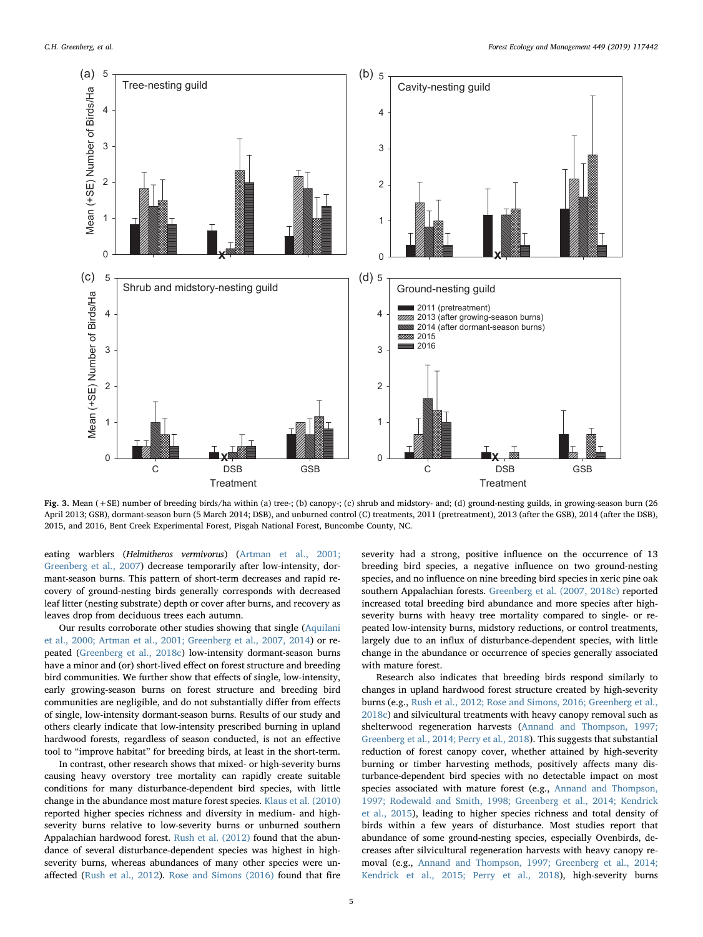<span id="page-4-0"></span>

Fig. 3. Mean (+SE) number of breeding birds/ha within (a) tree-; (b) canopy-; (c) shrub and midstory- and; (d) ground-nesting guilds, in growing-season burn (26 April 2013; GSB), dormant-season burn (5 March 2014; DSB), and unburned control (C) treatments, 2011 (pretreatment), 2013 (after the GSB), 2014 (after the DSB), 2015, and 2016, Bent Creek Experimental Forest, Pisgah National Forest, Buncombe County, NC.

eating warblers (Helmitheros vermivorus) [\(Artman et al., 2001;](#page-5-22) [Greenberg et al., 2007](#page-5-22)) decrease temporarily after low-intensity, dormant-season burns. This pattern of short-term decreases and rapid recovery of ground-nesting birds generally corresponds with decreased leaf litter (nesting substrate) depth or cover after burns, and recovery as leaves drop from deciduous trees each autumn.

Our results corroborate other studies showing that single ([Aquilani](#page-5-8) [et al., 2000; Artman et al., 2001; Greenberg et al., 2007, 2014\)](#page-5-8) or repeated ([Greenberg et al., 2018c\)](#page-5-23) low-intensity dormant-season burns have a minor and (or) short-lived effect on forest structure and breeding bird communities. We further show that effects of single, low-intensity, early growing-season burns on forest structure and breeding bird communities are negligible, and do not substantially differ from effects of single, low-intensity dormant-season burns. Results of our study and others clearly indicate that low-intensity prescribed burning in upland hardwood forests, regardless of season conducted, is not an effective tool to "improve habitat" for breeding birds, at least in the short-term.

In contrast, other research shows that mixed- or high-severity burns causing heavy overstory tree mortality can rapidly create suitable conditions for many disturbance-dependent bird species, with little change in the abundance most mature forest species. [Klaus et al. \(2010\)](#page-5-9) reported higher species richness and diversity in medium- and highseverity burns relative to low-severity burns or unburned southern Appalachian hardwood forest. [Rush et al. \(2012\)](#page-5-24) found that the abundance of several disturbance-dependent species was highest in highseverity burns, whereas abundances of many other species were unaffected ([Rush et al., 2012\)](#page-5-24). [Rose and Simons \(2016\)](#page-5-25) found that fire severity had a strong, positive influence on the occurrence of 13 breeding bird species, a negative influence on two ground-nesting species, and no influence on nine breeding bird species in xeric pine oak southern Appalachian forests. [Greenberg et al. \(2007, 2018c\)](#page-5-26) reported increased total breeding bird abundance and more species after highseverity burns with heavy tree mortality compared to single- or repeated low-intensity burns, midstory reductions, or control treatments, largely due to an influx of disturbance-dependent species, with little change in the abundance or occurrence of species generally associated with mature forest.

Research also indicates that breeding birds respond similarly to changes in upland hardwood forest structure created by high-severity burns (e.g., [Rush et al., 2012; Rose and Simons, 2016; Greenberg et al.,](#page-5-24) [2018c](#page-5-24)) and silvicultural treatments with heavy canopy removal such as shelterwood regeneration harvests [\(Annand and Thompson, 1997;](#page-5-6) [Greenberg et al., 2014; Perry et al., 2018\)](#page-5-6). This suggests that substantial reduction of forest canopy cover, whether attained by high-severity burning or timber harvesting methods, positively affects many disturbance-dependent bird species with no detectable impact on most species associated with mature forest (e.g., [Annand and Thompson,](#page-5-6) [1997; Rodewald and Smith, 1998; Greenberg et al., 2014; Kendrick](#page-5-6) [et al., 2015](#page-5-6)), leading to higher species richness and total density of birds within a few years of disturbance. Most studies report that abundance of some ground-nesting species, especially Ovenbirds, decreases after silvicultural regeneration harvests with heavy canopy removal (e.g., [Annand and Thompson, 1997; Greenberg et al., 2014;](#page-5-6) [Kendrick et al., 2015; Perry et al., 2018](#page-5-6)), high-severity burns